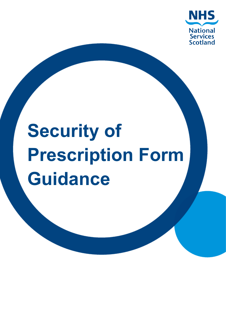

# **Security of Prescription Form Guidance**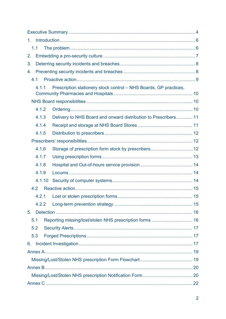| 1.1                                                                        |  |
|----------------------------------------------------------------------------|--|
| 2.                                                                         |  |
| 3.                                                                         |  |
| 4.                                                                         |  |
| 4.1                                                                        |  |
| Prescription stationery stock control - NHS Boards, GP practices,<br>4.1.1 |  |
|                                                                            |  |
| 4.1.2                                                                      |  |
| 4.1.3<br>Delivery to NHS Board and onward distribution to Prescribers 11   |  |
| 4.1.4                                                                      |  |
| 4.1.5                                                                      |  |
|                                                                            |  |
| 4.1.6<br>Storage of prescription form stock by prescribers 12              |  |
| 4.1.7                                                                      |  |
| 4.1.8                                                                      |  |
| 4.1.9                                                                      |  |
| 4.1.10                                                                     |  |
| 4.2                                                                        |  |
| 4.2.1                                                                      |  |
| 4.2.2                                                                      |  |
| 5 <sub>1</sub>                                                             |  |
| 5.1                                                                        |  |
| 5.2                                                                        |  |
| 5.3                                                                        |  |
| 6.                                                                         |  |
|                                                                            |  |
|                                                                            |  |
|                                                                            |  |
|                                                                            |  |
|                                                                            |  |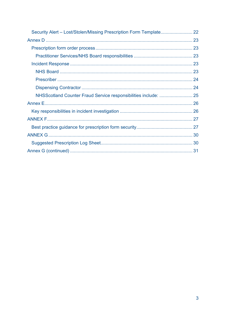| NHSScotland Counter Fraud Service responsibilities include:  25 |  |
|-----------------------------------------------------------------|--|
|                                                                 |  |
|                                                                 |  |
|                                                                 |  |
|                                                                 |  |
|                                                                 |  |
|                                                                 |  |
|                                                                 |  |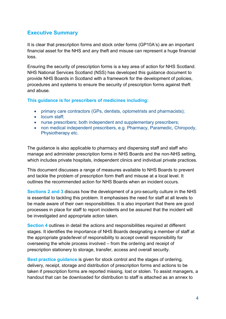## <span id="page-3-0"></span>**Executive Summary**

It is clear that prescription forms and stock order forms (GP10A's) are an important financial asset for the NHS and any theft and misuse can represent a huge financial loss.

Ensuring the security of prescription forms is a key area of action for NHS Scotland. NHS National Services Scotland (NSS) has developed this guidance document to provide NHS Boards in Scotland with a framework for the development of policies, procedures and systems to ensure the security of prescription forms against theft and abuse.

**This guidance is for prescribers of medicines including:**

- primary care contractors (GPs, dentists, optometrists and pharmacists);
- locum staff;
- nurse prescribers; both independent and supplementary prescribers;
- non medical independent prescribers, e.g. Pharmacy, Paramedic, Chiropody, Physiotherapy etc.

The guidance is also applicable to pharmacy and dispensing staff and staff who manage and administer prescription forms in NHS Boards and the non-NHS setting, which includes private hospitals, independent clinics and individual private practices.

This document discusses a range of measures available to NHS Boards to prevent and tackle the problem of prescription form theft and misuse at a local level. It outlines the recommended action for NHS Boards when an incident occurs.

**Sections 2 and 3** discuss how the development of a pro-security culture in the NHS is essential to tackling this problem. It emphasises the need for staff at all levels to be made aware of their own responsibilities. It is also important that there are good processes in place for staff to report incidents and be assured that the incident will be investigated and appropriate action taken.

**Section 4** outlines in detail the actions and responsibilities required at different stages. It identifies the importance of NHS Boards designating a member of staff at the appropriate grade/level of responsibility to accept overall responsibility for overseeing the whole process involved – from the ordering and receipt of prescription stationery to storage, transfer, access and overall security.

**Best practice guidance** is given for stock control and the stages of ordering, delivery, receipt, storage and distribution of prescription forms and actions to be taken if prescription forms are reported missing, lost or stolen. To assist managers, a handout that can be downloaded for distribution to staff is attached as an annex to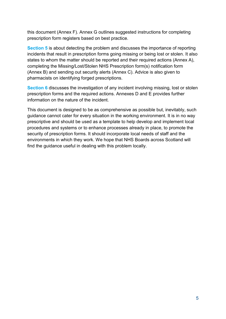this document (Annex F). Annex G outlines suggested instructions for completing prescription form registers based on best practice.

**Section 5** is about detecting the problem and discusses the importance of reporting incidents that result in prescription forms going missing or being lost or stolen. It also states to whom the matter should be reported and their required actions (Annex A), completing the Missing/Lost/Stolen NHS Prescription form(s) notification form (Annex B) and sending out security alerts (Annex C). Advice is also given to pharmacists on identifying forged prescriptions.

**Section 6** discusses the investigation of any incident involving missing, lost or stolen prescription forms and the required actions. Annexes D and E provides further information on the nature of the incident.

This document is designed to be as comprehensive as possible but, inevitably, such guidance cannot cater for every situation in the working environment. It is in no way prescriptive and should be used as a template to help develop and implement local procedures and systems or to enhance processes already in place, to promote the security of prescription forms. It should incorporate local needs of staff and the environments in which they work. We hope that NHS Boards across Scotland will find the guidance useful in dealing with this problem locally.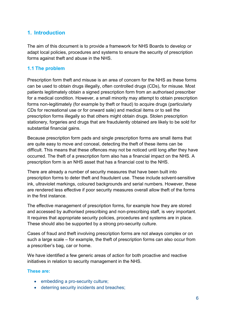## <span id="page-5-0"></span>**1. Introduction**

The aim of this document is to provide a framework for NHS Boards to develop or adapt local policies, procedures and systems to ensure the security of prescription forms against theft and abuse in the NHS.

#### <span id="page-5-1"></span>**1.1 The problem**

Prescription form theft and misuse is an area of concern for the NHS as these forms can be used to obtain drugs illegally, often controlled drugs (CDs), for misuse. Most patients legitimately obtain a signed prescription form from an authorised prescriber for a medical condition. However, a small minority may attempt to obtain prescription forms non-legitimately (for example by theft or fraud) to acquire drugs (particularly CDs for recreational use or for onward sale) and medical items or to sell the prescription forms illegally so that others might obtain drugs. Stolen prescription stationery, forgeries and drugs that are fraudulently obtained are likely to be sold for substantial financial gains.

Because prescription form pads and single prescription forms are small items that are quite easy to move and conceal, detecting the theft of these items can be difficult. This means that these offences may not be noticed until long after they have occurred. The theft of a prescription form also has a financial impact on the NHS. A prescription form is an NHS asset that has a financial cost to the NHS.

There are already a number of security measures that have been built into prescription forms to deter theft and fraudulent use. These include solvent-sensitive ink, ultraviolet markings, coloured backgrounds and serial numbers. However, these are rendered less effective if poor security measures overall allow theft of the forms in the first instance.

The effective management of prescription forms, for example how they are stored and accessed by authorised prescribing and non-prescribing staff, is very important. It requires that appropriate security policies, procedures and systems are in place. These should also be supported by a strong pro-security culture.

Cases of fraud and theft involving prescription forms are not always complex or on such a large scale – for example, the theft of prescription forms can also occur from a prescriber's bag, car or home.

We have identified a few generic areas of action for both proactive and reactive initiatives in relation to security management in the NHS.

#### **These are:**

- embedding a pro-security culture;
- deterring security incidents and breaches;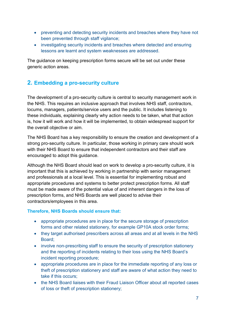- preventing and detecting security incidents and breaches where they have not been prevented through staff vigilance;
- investigating security incidents and breaches where detected and ensuring lessons are learnt and system weaknesses are addressed.

The guidance on keeping prescription forms secure will be set out under these generic action areas.

## <span id="page-6-0"></span>**2. Embedding a pro-security culture**

The development of a pro-security culture is central to security management work in the NHS. This requires an inclusive approach that involves NHS staff, contractors, locums, managers, patients/service users and the public. It includes listening to these individuals, explaining clearly why action needs to be taken, what that action is, how it will work and how it will be implemented, to obtain widespread support for the overall objective or aim.

The NHS Board has a key responsibility to ensure the creation and development of a strong pro-security culture. In particular, those working in primary care should work with their NHS Board to ensure that independent contractors and their staff are encouraged to adopt this guidance.

Although the NHS Board should lead on work to develop a pro-security culture, it is important that this is achieved by working in partnership with senior management and professionals at a local level. This is essential for implementing robust and appropriate procedures and systems to better protect prescription forms. All staff must be made aware of the potential value of and inherent dangers in the loss of prescription forms, and NHS Boards are well placed to advise their contractors/employees in this area.

#### **Therefore, NHS Boards should ensure that:**

- appropriate procedures are in place for the secure storage of prescription forms and other related stationery, for example GP10A stock order forms;
- they target authorised prescribers across all areas and at all levels in the NHS Board;
- involve non-prescribing staff to ensure the security of prescription stationery and the reporting of incidents relating to their loss using the NHS Board's incident reporting procedure;
- appropriate procedures are in place for the immediate reporting of any loss or theft of prescription stationery and staff are aware of what action they need to take if this occurs;
- the NHS Board liaises with their Fraud Liaison Officer about all reported cases of loss or theft of prescription stationery;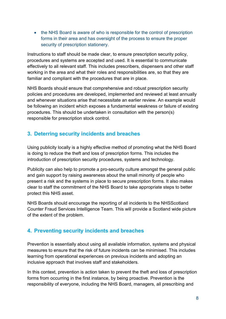• the NHS Board is aware of who is responsible for the control of prescription forms in their area and has oversight of the process to ensure the proper security of prescription stationery.

Instructions to staff should be made clear, to ensure prescription security policy, procedures and systems are accepted and used. It is essential to communicate effectively to all relevant staff. This includes prescribers, dispensers and other staff working in the area and what their roles and responsibilities are, so that they are familiar and compliant with the procedures that are in place.

NHS Boards should ensure that comprehensive and robust prescription security policies and procedures are developed, implemented and reviewed at least annually and whenever situations arise that necessitate an earlier review. An example would be following an incident which exposes a fundamental weakness or failure of existing procedures. This should be undertaken in consultation with the person(s) responsible for prescription stock control.

## <span id="page-7-0"></span>**3. Deterring security incidents and breaches**

Using publicity locally is a highly effective method of promoting what the NHS Board is doing to reduce the theft and loss of prescription forms. This includes the introduction of prescription security procedures, systems and technology.

Publicity can also help to promote a pro-security culture amongst the general public and gain support by raising awareness about the small minority of people who present a risk and the systems in place to secure prescription forms. It also makes clear to staff the commitment of the NHS Board to take appropriate steps to better protect this NHS asset.

NHS Boards should encourage the reporting of all incidents to the NHSScotland Counter Fraud Services Intelligence Team. This will provide a Scotland wide picture of the extent of the problem.

## <span id="page-7-1"></span>**4. Preventing security incidents and breaches**

Prevention is essentially about using all available information, systems and physical measures to ensure that the risk of future incidents can be minimised. This includes learning from operational experiences on previous incidents and adopting an inclusive approach that involves staff and stakeholders.

In this context, prevention is action taken to prevent the theft and loss of prescription forms from occurring in the first instance, by being proactive. Prevention is the responsibility of everyone, including the NHS Board, managers, all prescribing and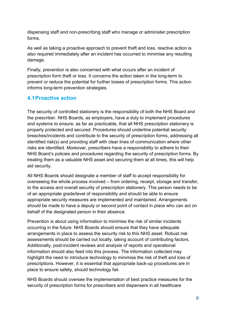dispensing staff and non-prescribing staff who manage or administer prescription forms.

As well as taking a proactive approach to prevent theft and loss, reactive action is also required immediately after an incident has occurred to minimise any resulting damage.

Finally, prevention is also concerned with what occurs after an incident of prescription form theft or loss. It concerns the action taken in the long-term to prevent or reduce the potential for further losses of prescription forms. This action informs long-term prevention strategies.

## <span id="page-8-0"></span>**4.1Proactive action**

The security of controlled stationery is the responsibility of both the NHS Board and the prescriber. NHS Boards, as employers, have a duty to implement procedures and systems to ensure, as far as practicable, that all NHS prescription stationery is properly protected and secured. Procedures should underline potential security breaches/incidents and contribute to the security of prescription forms, addressing all identified risk(s) and providing staff with clear lines of communication where other risks are identified. Moreover, prescribers have a responsibility to adhere to their NHS Board's policies and procedures regarding the security of prescription forms. By treating them as a valuable NHS asset and securing them at all times, this will help aid security.

All NHS Boards should designate a member of staff to accept responsibility for overseeing the whole process involved – from ordering, receipt, storage and transfer, to the access and overall security of prescription stationery. This person needs to be of an appropriate grade/level of responsibility and should be able to ensure appropriate security measures are implemented and maintained. Arrangements should be made to have a deputy or second point of contact in place who can act on behalf of the designated person in their absence.

Prevention is about using information to minimise the risk of similar incidents occurring in the future. NHS Boards should ensure that they have adequate arrangements in place to assess the security risk to this NHS asset. Robust risk assessments should be carried out locally, taking account of contributing factors. Additionally, post-incident reviews and analysis of reports and operational information should also feed into this process. The information collected may highlight the need to introduce technology to minimise the risk of theft and loss of prescriptions. However, it is essential that appropriate back-up procedures are in place to ensure safety, should technology fail.

NHS Boards should oversee the implementation of best practice measures for the security of prescription forms for prescribers and dispensers in all healthcare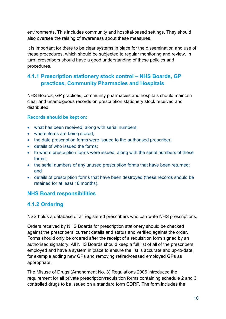environments. This includes community and hospital-based settings. They should also oversee the raising of awareness about these measures.

It is important for there to be clear systems in place for the dissemination and use of these procedures, which should be subjected to regular monitoring and review. In turn, prescribers should have a good understanding of these policies and procedures.

## <span id="page-9-0"></span>**4.1.1 Prescription stationery stock control – NHS Boards, GP practices, Community Pharmacies and Hospitals**

NHS Boards, GP practices, community pharmacies and hospitals should maintain clear and unambiguous records on prescription stationery stock received and distributed.

#### **Records should be kept on:**

- what has been received, along with serial numbers;
- where items are being stored;
- the date prescription forms were issued to the authorised prescriber:
- details of who issued the forms;
- to whom prescription forms were issued, along with the serial numbers of these forms;
- the serial numbers of any unused prescription forms that have been returned; and
- details of prescription forms that have been destroyed (these records should be retained for at least 18 months).

## <span id="page-9-1"></span>**NHS Board responsibilities**

## <span id="page-9-2"></span>**4.1.2 Ordering**

NSS holds a database of all registered prescribers who can write NHS prescriptions.

Orders received by NHS Boards for prescription stationery should be checked against the prescribers' current details and status and verified against the order. Forms should only be ordered after the receipt of a requisition form signed by an authorised signatory. All NHS Boards should keep a full list of all of the prescribers employed and have a system in place to ensure the list is accurate and up-to-date, for example adding new GPs and removing retired/ceased employed GPs as appropriate.

The Misuse of Drugs (Amendment No. 3) Regulations 2006 introduced the requirement for all private prescription/requisition forms containing schedule 2 and 3 controlled drugs to be issued on a standard form CDRF. The form includes the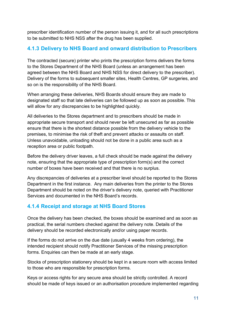prescriber identification number of the person issuing it, and for all such prescriptions to be submitted to NHS NSS after the drug has been supplied.

## <span id="page-10-0"></span>**4.1.3 Delivery to NHS Board and onward distribution to Prescribers**

The contracted (secure) printer who prints the prescription forms delivers the forms to the Stores Department of the NHS Board (unless an arrangement has been agreed between the NHS Board and NHS NSS for direct delivery to the prescriber). Delivery of the forms to subsequent smaller sites, Health Centres, GP surgeries, and so on is the responsibility of the NHS Board.

When arranging these deliveries, NHS Boards should ensure they are made to designated staff so that late deliveries can be followed up as soon as possible. This will allow for any discrepancies to be highlighted quickly.

All deliveries to the Stores department and to prescribers should be made in appropriate secure transport and should never be left unsecured as far as possible ensure that there is the shortest distance possible from the delivery vehicle to the premises, to minimise the risk of theft and prevent attacks or assaults on staff. Unless unavoidable, unloading should not be done in a public area such as a reception area or public footpath.

Before the delivery driver leaves, a full check should be made against the delivery note, ensuring that the appropriate type of prescription form(s) and the correct number of boxes have been received and that there is no surplus.

Any discrepancies of deliveries at a prescriber level should be reported to the Stores Department in the first instance. Any main deliveries from the printer to the Stores Department should be noted on the driver's delivery note, queried with Practitioner Services and documented in the NHS Board's records.

## <span id="page-10-1"></span>**4.1.4 Receipt and storage at NHS Board Stores**

Once the delivery has been checked, the boxes should be examined and as soon as practical, the serial numbers checked against the delivery note. Details of the delivery should be recorded electronically and/or using paper records.

If the forms do not arrive on the due date (usually 4 weeks from ordering), the intended recipient should notify Practitioner Services of the missing prescription forms. Enquiries can then be made at an early stage.

Stocks of prescription stationery should be kept in a secure room with access limited to those who are responsible for prescription forms.

Keys or access rights for any secure area should be strictly controlled. A record should be made of keys issued or an authorisation procedure implemented regarding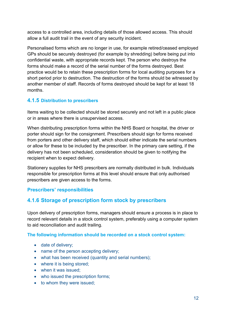access to a controlled area, including details of those allowed access. This should allow a full audit trail in the event of any security incident.

Personalised forms which are no longer in use, for example retired/ceased employed GPs should be securely destroyed (for example by shredding) before being put into confidential waste, with appropriate records kept. The person who destroys the forms should make a record of the serial number of the forms destroyed. Best practice would be to retain these prescription forms for local auditing purposes for a short period prior to destruction. The destruction of the forms should be witnessed by another member of staff. Records of forms destroyed should be kept for at least 18 months.

## <span id="page-11-0"></span>**4.1.5 Distribution to prescribers**

Items waiting to be collected should be stored securely and not left in a public place or in areas where there is unsupervised access.

When distributing prescription forms within the NHS Board or hospital, the driver or porter should sign for the consignment. Prescribers should sign for forms received from porters and other delivery staff, which should either indicate the serial numbers or allow for these to be included by the prescriber. In the primary care setting, if the delivery has not been scheduled, consideration should be given to notifying the recipient when to expect delivery.

Stationery supplies for NHS prescribers are normally distributed in bulk. Individuals responsible for prescription forms at this level should ensure that only authorised prescribers are given access to the forms.

## <span id="page-11-1"></span>**Prescribers' responsibilities**

## <span id="page-11-2"></span>**4.1.6 Storage of prescription form stock by prescribers**

Upon delivery of prescription forms, managers should ensure a process is in place to record relevant details in a stock control system, preferably using a computer system to aid reconciliation and audit trailing.

#### **The following information should be recorded on a stock control system:**

- date of delivery;
- name of the person accepting delivery;
- what has been received (quantity and serial numbers);
- where it is being stored:
- when it was issued:
- who issued the prescription forms;
- to whom they were issued;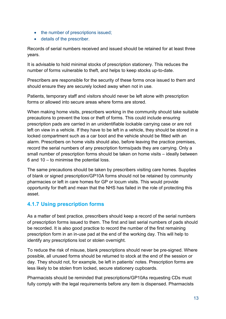- the number of prescriptions issued;
- details of the prescriber.

Records of serial numbers received and issued should be retained for at least three years.

It is advisable to hold minimal stocks of prescription stationery. This reduces the number of forms vulnerable to theft, and helps to keep stocks up-to-date.

Prescribers are responsible for the security of these forms once issued to them and should ensure they are securely locked away when not in use.

Patients, temporary staff and visitors should never be left alone with prescription forms or allowed into secure areas where forms are stored.

When making home visits, prescribers working in the community should take suitable precautions to prevent the loss or theft of forms. This could include ensuring prescription pads are carried in an unidentifiable lockable carrying case or are not left on view in a vehicle. If they have to be left in a vehicle, they should be stored in a locked compartment such as a car boot and the vehicle should be fitted with an alarm. Prescribers on home visits should also, before leaving the practice premises, record the serial numbers of any prescription forms/pads they are carrying. Only a small number of prescription forms should be taken on home visits – ideally between 6 and 10 – to minimise the potential loss.

The same precautions should be taken by prescribers visiting care homes. Supplies of blank or signed prescription/GP10A forms should not be retained by community pharmacies or left in care homes for GP or locum visits. This would provide opportunity for theft and mean that the NHS has failed in the role of protecting this asset.

## <span id="page-12-0"></span>**4.1.7 Using prescription forms**

As a matter of best practice, prescribers should keep a record of the serial numbers of prescription forms issued to them. The first and last serial numbers of pads should be recorded. It is also good practice to record the number of the first remaining prescription form in an in-use pad at the end of the working day. This will help to identify any prescriptions lost or stolen overnight.

To reduce the risk of misuse, blank prescriptions should never be pre-signed. Where possible, all unused forms should be returned to stock at the end of the session or day. They should not, for example, be left in patients' notes. Prescription forms are less likely to be stolen from locked, secure stationery cupboards.

Pharmacists should be reminded that prescriptions/GP10As requesting CDs must fully comply with the legal requirements before any item is dispensed. Pharmacists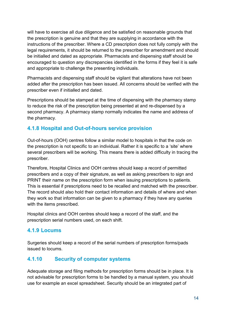will have to exercise all due diligence and be satisfied on reasonable grounds that the prescription is genuine and that they are supplying in accordance with the instructions of the prescriber. Where a CD prescription does not fully comply with the legal requirements, it should be returned to the prescriber for amendment and should be initialled and dated as appropriate. Pharmacists and dispensing staff should be encouraged to question any discrepancies identified in the forms if they feel it is safe and appropriate to challenge the presenting individuals.

Pharmacists and dispensing staff should be vigilant that alterations have not been added after the prescription has been issued. All concerns should be verified with the prescriber even if initialled and dated.

Prescriptions should be stamped at the time of dispensing with the pharmacy stamp to reduce the risk of the prescription being presented at and re-dispensed by a second pharmacy. A pharmacy stamp normally indicates the name and address of the pharmacy.

## <span id="page-13-0"></span>**4.1.8 Hospital and Out-of-hours service provision**

Out-of-hours (OOH) centres follow a similar model to hospitals in that the code on the prescription is not specific to an individual. Rather it is specific to a 'site' where several prescribers will be working. This means there is added difficulty in tracing the prescriber.

Therefore, Hospital Clinics and OOH centres should keep a record of permitted prescribers and a copy of their signature, as well as asking prescribers to sign and PRINT their name on the prescription form when issuing prescriptions to patients. This is essential if prescriptions need to be recalled and matched with the prescriber. The record should also hold their contact information and details of where and when they work so that information can be given to a pharmacy if they have any queries with the items prescribed.

Hospital clinics and OOH centres should keep a record of the staff, and the prescription serial numbers used, on each shift.

## <span id="page-13-1"></span>**4.1.9 Locums**

Surgeries should keep a record of the serial numbers of prescription forms/pads issued to locums.

## <span id="page-13-2"></span>**4.1.10 Security of computer systems**

Adequate storage and filing methods for prescription forms should be in place. It is not advisable for prescription forms to be handled by a manual system, you should use for example an excel spreadsheet. Security should be an integrated part of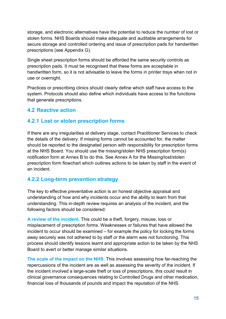storage, and electronic alternatives have the potential to reduce the number of lost or stolen forms. NHS Boards should make adequate and auditable arrangements for secure storage and controlled ordering and issue of prescription pads for handwritten prescriptions (see Appendix G).

Single sheet prescription forms should be afforded the same security controls as prescription pads. It must be recognised that these forms are acceptable in handwritten form, so it is not advisable to leave the forms in printer trays when not in use or overnight.

Practices or prescribing clinics should clearly define which staff have access to the system. Protocols should also define which individuals have access to the functions that generate prescriptions.

## <span id="page-14-0"></span>**4.2 Reactive action**

## <span id="page-14-1"></span>**4.2.1 Lost or stolen prescription forms**

If there are any irregularities at delivery stage, contact Practitioner Services to check the details of the delivery. If missing forms cannot be accounted for, the matter should be reported to the designated person with responsibility for prescription forms at the NHS Board. You should use the missing/stolen NHS prescription form(s) notification form at Annex B to do this. See Annex A for the Missing/lost/stolen prescription form flowchart which outlines actions to be taken by staff in the event of an incident.

## <span id="page-14-2"></span>**4.2.2 Long-term prevention strategy**

The key to effective preventative action is an honest objective appraisal and understanding of how and why incidents occur and the ability to learn from that understanding. This in-depth review requires an analysis of the incident, and the following factors should be considered:

**A review of the incident.** This could be a theft, forgery, misuse, loss or misplacement of prescription forms. Weaknesses or failures that have allowed the incident to occur should be examined – for example the policy for locking the forms away securely was not adhered to by staff or the alarm was not functioning. This process should identify lessons learnt and appropriate action to be taken by the NHS Board to avert or better manage similar situations.

**The scale of the impact on the NHS**. This involves assessing how far-reaching the repercussions of the incident are as well as assessing the severity of the incident. If the incident involved a large-scale theft or loss of prescriptions, this could result in clinical governance consequences relating to Controlled Drugs and other medication, financial loss of thousands of pounds and impact the reputation of the NHS.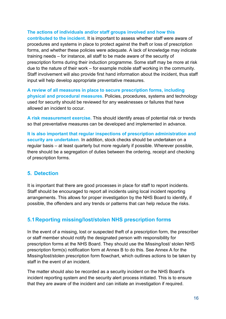#### **The actions of individuals and/or staff groups involved and how this**

**contributed to the incident.** It is important to assess whether staff were aware of procedures and systems in place to protect against the theft or loss of prescription forms, and whether these policies were adequate. A lack of knowledge may indicate training needs – for instance, all staff to be made aware of the security of prescription forms during their induction programme. Some staff may be more at risk due to the nature of their work – for example mobile staff working in the community. Staff involvement will also provide first hand information about the incident, thus staff input will help develop appropriate preventative measures.

**A review of all measures in place to secure prescription forms, including physical and procedural measures.** Policies, procedures, systems and technology used for security should be reviewed for any weaknesses or failures that have allowed an incident to occur.

**A risk measurement exercise.** This should identify areas of potential risk or trends so that preventative measures can be developed and implemented in advance.

**It is also important that regular inspections of prescription administration and security are undertaken**. In addition, stock checks should be undertaken on a regular basis – at least quarterly but more regularly if possible. Wherever possible, there should be a segregation of duties between the ordering, receipt and checking of prescription forms.

#### <span id="page-15-0"></span>**5. Detection**

It is important that there are good processes in place for staff to report incidents. Staff should be encouraged to report all incidents using local incident reporting arrangements. This allows for proper investigation by the NHS Board to identify, if possible, the offenders and any trends or patterns that can help reduce the risks.

## <span id="page-15-1"></span>**5.1Reporting missing/lost/stolen NHS prescription forms**

In the event of a missing, lost or suspected theft of a prescription form, the prescriber or staff member should notify the designated person with responsibility for prescription forms at the NHS Board. They should use the Missing/lost/ stolen NHS prescription form(s) notification form at Annex B to do this. See Annex A for the Missing/lost/stolen prescription form flowchart, which outlines actions to be taken by staff in the event of an incident.

The matter should also be recorded as a security incident on the NHS Board's incident reporting system and the security alert process initiated. This is to ensure that they are aware of the incident and can initiate an investigation if required.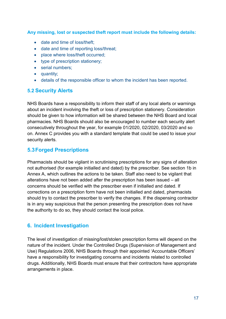**Any missing, lost or suspected theft report must include the following details:** 

- date and time of loss/theft;
- date and time of reporting loss/threat;
- place where loss/theft occurred;
- type of prescription stationery;
- serial numbers;
- quantity;
- details of the responsible officer to whom the incident has been reported.

#### <span id="page-16-0"></span>**5.2 Security Alerts**

NHS Boards have a responsibility to inform their staff of any local alerts or warnings about an incident involving the theft or loss of prescription stationery. Consideration should be given to how information will be shared between the NHS Board and local pharmacies. NHS Boards should also be encouraged to number each security alert consecutively throughout the year, for example 01/2020, 02/2020, 03/2020 and so on. Annex C provides you with a standard template that could be used to issue your security alerts.

## <span id="page-16-1"></span>**5.3Forged Prescriptions**

Pharmacists should be vigilant in scrutinising prescriptions for any signs of alteration not authorised (for example initialled and dated) by the prescriber. See section 1b in Annex A, which outlines the actions to be taken. Staff also need to be vigilant that alterations have not been added after the prescription has been issued – all concerns should be verified with the prescriber even if initialled and dated. If corrections on a prescription form have not been initialled and dated, pharmacists should try to contact the prescriber to verify the changes. If the dispensing contractor is in any way suspicious that the person presenting the prescription does not have the authority to do so, they should contact the local police.

## <span id="page-16-2"></span>**6. Incident Investigation**

The level of investigation of missing/lost/stolen prescription forms will depend on the nature of the incident. Under the Controlled Drugs (Supervision of Management and Use) Regulations 2006, NHS Boards through their appointed 'Accountable Officers' have a responsibility for investigating concerns and incidents related to controlled drugs. Additionally, NHS Boards must ensure that their contractors have appropriate arrangements in place.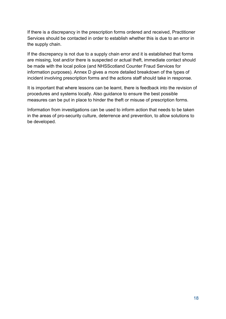If there is a discrepancy in the prescription forms ordered and received, Practitioner Services should be contacted in order to establish whether this is due to an error in the supply chain.

If the discrepancy is not due to a supply chain error and it is established that forms are missing, lost and/or there is suspected or actual theft, immediate contact should be made with the local police (and NHSScotland Counter Fraud Services for information purposes). Annex D gives a more detailed breakdown of the types of incident involving prescription forms and the actions staff should take in response.

It is important that where lessons can be learnt, there is feedback into the revision of procedures and systems locally. Also guidance to ensure the best possible measures can be put in place to hinder the theft or misuse of prescription forms.

Information from investigations can be used to inform action that needs to be taken in the areas of pro-security culture, deterrence and prevention, to allow solutions to be developed.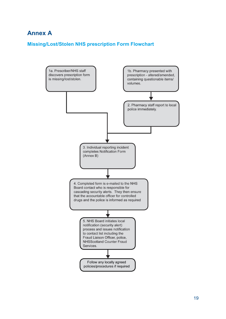# <span id="page-18-0"></span>**Annex A**

## <span id="page-18-1"></span>**Missing/Lost/Stolen NHS prescription Form Flowchart**

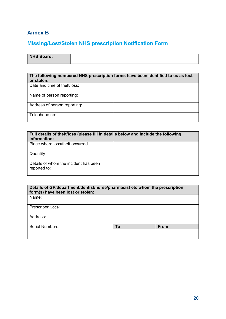## <span id="page-19-0"></span>**Annex B**

# <span id="page-19-1"></span>**Missing/Lost/Stolen NHS prescription Notification Form**

| NHS Board: |  |
|------------|--|
|            |  |

| The following numbered NHS prescription forms have been identified to us as lost<br>or stolen: |  |
|------------------------------------------------------------------------------------------------|--|
| Date and time of theft/loss:                                                                   |  |
| Name of person reporting:                                                                      |  |
| Address of person reporting:                                                                   |  |
| Telephone no:                                                                                  |  |

| Full details of theft/loss (please fill in details below and include the following<br>information: |  |  |
|----------------------------------------------------------------------------------------------------|--|--|
| Place where loss/theft occurred                                                                    |  |  |
| Quantity:                                                                                          |  |  |
| Details of whom the incident has been<br>reported to:                                              |  |  |

| Details of GP/department/dentist/nurse/pharmacist etc whom the prescription<br>form(s) have been lost or stolen: |    |             |
|------------------------------------------------------------------------------------------------------------------|----|-------------|
| Name:                                                                                                            |    |             |
| Prescriber Code:                                                                                                 |    |             |
| Address:                                                                                                         |    |             |
| Serial Numbers:                                                                                                  | Τo | <b>From</b> |
|                                                                                                                  |    |             |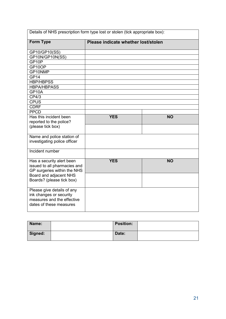| Details of NHS prescription form type lost or stolen (tick appropriate box):                                   |                                     |           |
|----------------------------------------------------------------------------------------------------------------|-------------------------------------|-----------|
| <b>Form Type</b>                                                                                               | Please indicate whether lost/stolen |           |
| GP10/GP10(SS)                                                                                                  |                                     |           |
| GP10N/GP10N(SS)                                                                                                |                                     |           |
| GP10P                                                                                                          |                                     |           |
| GP10OP                                                                                                         |                                     |           |
| GP10NMP                                                                                                        |                                     |           |
| GP <sub>14</sub>                                                                                               |                                     |           |
| <b>HBP/HBPSS</b>                                                                                               |                                     |           |
| <b>HBPA/HBPASS</b>                                                                                             |                                     |           |
| GP10A                                                                                                          |                                     |           |
| CP4/3                                                                                                          |                                     |           |
| <b>CPUS</b>                                                                                                    |                                     |           |
| <b>CDRF</b>                                                                                                    |                                     |           |
| <b>PPCD</b>                                                                                                    |                                     |           |
| Has this incident been                                                                                         | <b>YES</b>                          | <b>NO</b> |
| reported to the police?                                                                                        |                                     |           |
| (please tick box)                                                                                              |                                     |           |
| Name and police station of<br>investigating police officer                                                     |                                     |           |
| Incident number                                                                                                |                                     |           |
| Has a security alert been<br>issued to all pharmacies and<br>GP surgeries within the NHS                       | <b>YES</b>                          | <b>NO</b> |
| Board and adjacent NHS<br>Boards? (please tick box)                                                            |                                     |           |
| Please give details of any<br>ink changes or security<br>measures and the effective<br>dates of these measures |                                     |           |

| Name:   | <b>Position:</b> |  |
|---------|------------------|--|
| Signed: | Date:            |  |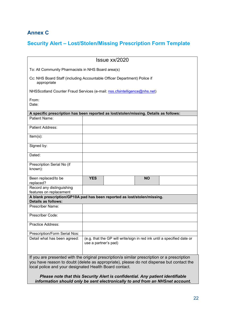## <span id="page-21-0"></span>**Annex C**

## <span id="page-21-1"></span>**Security Alert – Lost/Stolen/Missing Prescription Form Template**

| $l$ ssue $xx/2020$                                                                                                                                                                                                                                 |            |  |           |  |
|----------------------------------------------------------------------------------------------------------------------------------------------------------------------------------------------------------------------------------------------------|------------|--|-----------|--|
| To: All Community Pharmacists in NHS Board area(s)                                                                                                                                                                                                 |            |  |           |  |
| Cc: NHS Board Staff (including Accountable Officer Department) Police if<br>appropriate                                                                                                                                                            |            |  |           |  |
| NHSScotland Counter Fraud Services (e-mail: nss.cfsintelligence@nhs.net)                                                                                                                                                                           |            |  |           |  |
| From:<br>Date:                                                                                                                                                                                                                                     |            |  |           |  |
| A specific prescription has been reported as lost/stolen/missing. Details as follows:                                                                                                                                                              |            |  |           |  |
| Patient Name:                                                                                                                                                                                                                                      |            |  |           |  |
| Patient Address:                                                                                                                                                                                                                                   |            |  |           |  |
| $Item(s)$ :                                                                                                                                                                                                                                        |            |  |           |  |
| Signed by:                                                                                                                                                                                                                                         |            |  |           |  |
| Dated:                                                                                                                                                                                                                                             |            |  |           |  |
| Prescription Serial No (if<br>known):                                                                                                                                                                                                              |            |  |           |  |
| Been replaced/to be<br>replaced?                                                                                                                                                                                                                   | <b>YES</b> |  | <b>NO</b> |  |
| Record any distinguishing<br>features on replacement                                                                                                                                                                                               |            |  |           |  |
| A blank prescription/GP10A pad has been reported as lost/stolen/missing.                                                                                                                                                                           |            |  |           |  |
| <b>Details as follows:</b>                                                                                                                                                                                                                         |            |  |           |  |
| Prescriber Name:                                                                                                                                                                                                                                   |            |  |           |  |
| Prescriber Code:                                                                                                                                                                                                                                   |            |  |           |  |
| Practice Address:                                                                                                                                                                                                                                  |            |  |           |  |
| Prescription/Form Serial Nos:                                                                                                                                                                                                                      |            |  |           |  |
| Detail what has been agreed:<br>(e.g. that the GP will write/sign in red ink until a specified date or<br>use a partner's pad)                                                                                                                     |            |  |           |  |
| If you are presented with the original prescription/a similar prescription or a prescription<br>you have reason to doubt (delete as appropriate), please do not dispense but contact the<br>local police and your designated Health Board contact. |            |  |           |  |

*Please note that this Security Alert is confidential. Any patient identifiable information should only be sent electronically to and from an NHSnet account.*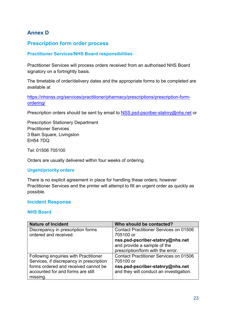## <span id="page-22-0"></span>**Annex D**

## <span id="page-22-1"></span>**Prescription form order process**

#### <span id="page-22-2"></span>**Practitioner Services/NHS Board responsibilities**

Practitioner Services will process orders received from an authorised NHS Board signatory on a fortnightly basis.

The timetable of order/delivery dates and the appropriate forms to be completed are available at

[https://nhsnss.org/services/practitioner/pharmacy/prescriptions/prescription-form](https://nhsnss.org/services/practitioner/pharmacy/prescriptions/prescription-form-ordering/)[ordering/](https://nhsnss.org/services/practitioner/pharmacy/prescriptions/prescription-form-ordering/)

Prescription orders should be sent by email to [NSS.psd-pscriber-statnry@nhs.net](mailto:NSS.psd-pscriber-statnry@nhs.net) or

Prescription Stationery Department Practitioner Services 3 Bain Square, Livingston EH54 7DQ

Tel: 01506 705100

Orders are usually delivered within four weeks of ordering.

#### **Urgent/priority orders**

There is no explicit agreement in place for handling these orders; however Practitioner Services and the printer will attempt to fill an urgent order as quickly as possible.

#### <span id="page-22-3"></span>**Incident Response**

#### <span id="page-22-4"></span>**NHS Board**

| <b>Nature of Incident</b>                | Who should be contacted?                      |
|------------------------------------------|-----------------------------------------------|
| Discrepancy in prescription forms        | <b>Contact Practitioner Services on 01506</b> |
| ordered and received.                    | 705100 or                                     |
|                                          | nss.psd-pscriber-statnry@nhs.net              |
|                                          | and provide a sample of the                   |
|                                          | prescription/form with the error.             |
| Following enquiries with Practitioner    | <b>Contact Practitioner Services on 01506</b> |
| Services, if discrepancy in prescription | 705100 or                                     |
| forms ordered and received cannot be     | nss.psd-pscriber-statnry@nhs.net              |
| accounted for and forms are still        | and they will conduct an investigation.       |
| missing.                                 |                                               |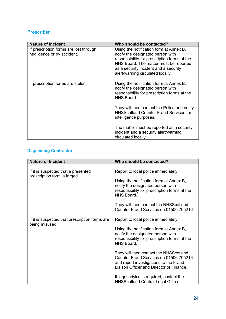#### <span id="page-23-0"></span>**Prescriber**

| <b>Nature of Incident</b>                                            | Who should be contacted?                                                                                                                                                                                                                             |
|----------------------------------------------------------------------|------------------------------------------------------------------------------------------------------------------------------------------------------------------------------------------------------------------------------------------------------|
| If prescription forms are lost through<br>negligence or by accident. | Using the notification form at Annex B,<br>notify the designated person with<br>responsibility for prescription forms at the<br>NHS Board. The matter must be reported<br>as a security incident and a security<br>alert/warning circulated locally. |
| If prescription forms are stolen.                                    | Using the notification form at Annex B,<br>notify the designated person with<br>responsibility for prescription forms at the<br>NHS Board.                                                                                                           |
|                                                                      | They will then contact the Police and notify<br><b>NHSScotland Counter Fraud Services for</b><br>intelligence purposes.                                                                                                                              |
|                                                                      | The matter must be reported as a security<br>incident and a security alert/warning<br>circulated locally.                                                                                                                                            |

## <span id="page-23-1"></span>**Dispensing Contractor**

| <b>Nature of Incident</b>                                           | Who should be contacted?                                                                                                                                               |
|---------------------------------------------------------------------|------------------------------------------------------------------------------------------------------------------------------------------------------------------------|
| If it is suspected that a presented<br>prescription form is forged. | Report to local police immediately.                                                                                                                                    |
|                                                                     | Using the notification form at Annex B,<br>notify the designated person with<br>responsibility for prescription forms at the<br>NHS Board.                             |
|                                                                     | They will then contact the NHSScotland<br>Counter Fraud Services on 01506 705216.                                                                                      |
| If it is suspected that prescription forms are<br>being misused.    | Report to local police immediately.                                                                                                                                    |
|                                                                     | Using the notification form at Annex B,<br>notify the designated person with<br>responsibility for prescription forms at the<br>NHS Board.                             |
|                                                                     | They will then contact the NHSScotland<br>Counter Fraud Services on 01506 705216<br>and report investigations to the Fraud<br>Liaison Officer and Director of Finance. |
|                                                                     | If legal advice is required, contact the<br><b>NHSScotland Central Legal Office.</b>                                                                                   |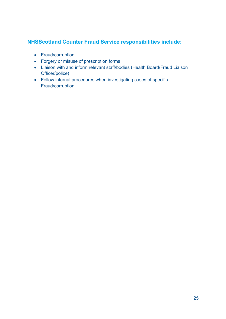## <span id="page-24-0"></span>**NHSScotland Counter Fraud Service responsibilities include:**

- Fraud/corruption
- Forgery or misuse of prescription forms
- Liaison with and inform relevant staff/bodies (Health Board/Fraud Liaison Officer/police)
- Follow internal procedures when investigating cases of specific Fraud/corruption.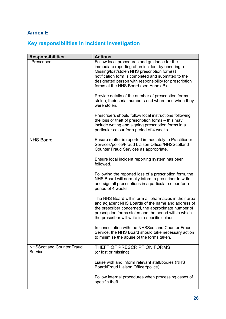# <span id="page-25-0"></span>**Annex E**

# <span id="page-25-1"></span>**Key responsibilities in incident investigation**

| <b>Responsibilities</b>                     | <b>Actions</b>                                                                                                                                                                                                                                                                                             |
|---------------------------------------------|------------------------------------------------------------------------------------------------------------------------------------------------------------------------------------------------------------------------------------------------------------------------------------------------------------|
| Prescriber                                  | Follow local procedures and guidance for the<br>immediate reporting of an incident by ensuring a<br>Missing/lost/stolen NHS prescription form(s)<br>notification form is completed and submitted to the<br>designated person with responsibility for prescription<br>forms at the NHS Board (see Annex B). |
|                                             | Provide details of the number of prescription forms<br>stolen, their serial numbers and where and when they<br>were stolen.                                                                                                                                                                                |
|                                             | Prescribers should follow local instructions following<br>the loss or theft of prescription forms – this may<br>include writing and signing prescription forms in a<br>particular colour for a period of 4 weeks.                                                                                          |
| <b>NHS Board</b>                            | Ensure matter is reported immediately to Practitioner<br>Services/police/Fraud Liaison Officer/NHSScotland<br>Counter Fraud Services as appropriate.                                                                                                                                                       |
|                                             | Ensure local incident reporting system has been<br>followed.                                                                                                                                                                                                                                               |
|                                             | Following the reported loss of a prescription form, the<br>NHS Board will normally inform a prescriber to write<br>and sign all prescriptions in a particular colour for a<br>period of 4 weeks.                                                                                                           |
|                                             | The NHS Board will inform all pharmacies in their area<br>and adjacent NHS Boards of the name and address of<br>the prescriber concerned, the approximate number of<br>prescription forms stolen and the period within which<br>the prescriber will write in a specific colour.                            |
|                                             | In consultation with the NHSScotland Counter Fraud<br>Service, the NHS Board should take necessary action<br>to minimise the abuse of the forms taken.                                                                                                                                                     |
| <b>NHSScotland Counter Fraud</b><br>Service | THEFT OF PRESCRIPTION FORMS<br>(or lost or missing)                                                                                                                                                                                                                                                        |
|                                             | Liaise with and inform relevant staff/bodies (NHS<br>Board/Fraud Liaison Officer/police).                                                                                                                                                                                                                  |
|                                             | Follow internal procedures when processing cases of<br>specific theft.                                                                                                                                                                                                                                     |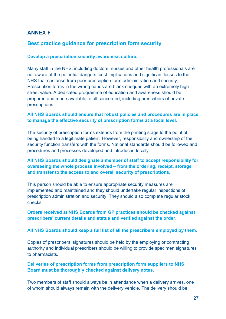## <span id="page-26-0"></span>**ANNEX F**

## <span id="page-26-1"></span>**Best practice guidance for prescription form security**

#### **Develop a prescription security awareness culture.**

Many staff in the NHS, including doctors, nurses and other health professionals are not aware of the potential dangers, cost implications and significant losses to the NHS that can arise from poor prescription form administration and security. Prescription forms in the wrong hands are blank cheques with an extremely high street value. A dedicated programme of education and awareness should be prepared and made available to all concerned, including prescribers of private prescriptions.

#### **All NHS Boards should ensure that robust policies and procedures are in place to manage the effective security of prescription forms at a local level.**

The security of prescription forms extends from the printing stage to the point of being handed to a legitimate patient. However, responsibility and ownership of the security function transfers with the forms. National standards should be followed and procedures and processes developed and introduced locally.

#### **All NHS Boards should designate a member of staff to accept responsibility for overseeing the whole process involved – from the ordering, receipt, storage and transfer to the access to and overall security of prescriptions.**

This person should be able to ensure appropriate security measures are implemented and maintained and they should undertake regular inspections of prescription administration and security. They should also complete regular stock checks.

#### **Orders received at NHS Boards from GP practices should be checked against prescribers' current details and status and verified against the order**.

#### **All NHS Boards should keep a full list of all the prescribers employed by them.**

Copies of prescribers' signatures should be held by the employing or contracting authority and individual prescribers should be willing to provide specimen signatures to pharmacists.

#### **Deliveries of prescription forms from prescription form suppliers to NHS Board must be thoroughly checked against delivery notes.**

Two members of staff should always be in attendance when a delivery arrives, one of whom should always remain with the delivery vehicle. The delivery should be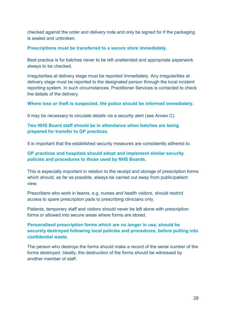checked against the order and delivery note and only be signed for if the packaging is sealed and unbroken.

#### **Prescriptions must be transferred to a secure store immediately.**

Best practice is for batches never to be left unattended and appropriate paperwork always to be checked.

Irregularities at delivery stage must be reported immediately. Any irregularities at delivery stage must be reported to the designated person through the local incident reporting system. In such circumstances, Practitioner Services is contacted to check the details of the delivery.

#### **Where loss or theft is suspected, the police should be informed immediately.**

It may be necessary to circulate details via a security alert (see Annex C).

#### **Two NHS Board staff should be in attendance when batches are being prepared for transfer to GP practices.**

It is important that the established security measures are consistently adhered to.

#### **GP practices and hospitals should adopt and implement similar security policies and procedures to those used by NHS Boards.**

This is especially important in relation to the receipt and storage of prescription forms which should, as far as possible, always be carried out away from public/patient view.

Prescribers who work in teams, e.g. nurses and health visitors, should restrict access to spare prescription pads to prescribing clinicians only.

Patients, temporary staff and visitors should never be left alone with prescription forms or allowed into secure areas where forms are stored.

#### **Personalised prescription forms which are no longer in use, should be securely destroyed following local policies and procedures, before putting into confidential waste.**

The person who destroys the forms should make a record of the serial number of the forms destroyed. Ideally, the destruction of the forms should be witnessed by another member of staff.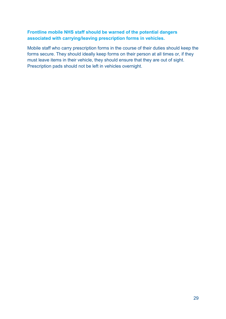#### **Frontline mobile NHS staff should be warned of the potential dangers associated with carrying/leaving prescription forms in vehicles.**

Mobile staff who carry prescription forms in the course of their duties should keep the forms secure. They should ideally keep forms on their person at all times or, if they must leave items in their vehicle, they should ensure that they are out of sight. Prescription pads should not be left in vehicles overnight.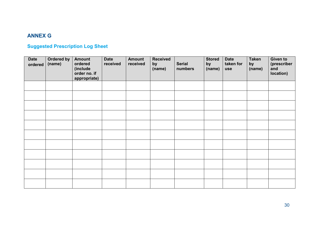# **ANNEX G**

# **Suggested Prescription Log Sheet**

<span id="page-29-1"></span><span id="page-29-0"></span>

| <b>Date</b><br>ordered | <b>Ordered by</b><br>(name) | <b>Amount</b><br>ordered<br>(include<br>order no. if<br>appropriate) | <b>Date</b><br>received | <b>Amount</b><br>received | <b>Received</b><br>by<br>(name) | <b>Serial</b><br>numbers | <b>Stored</b><br>by<br>(name) | <b>Date</b><br>taken for<br><b>use</b> | <b>Taken</b><br>by<br>(name) | <b>Given to</b><br>(prescriber<br>and<br>location) |
|------------------------|-----------------------------|----------------------------------------------------------------------|-------------------------|---------------------------|---------------------------------|--------------------------|-------------------------------|----------------------------------------|------------------------------|----------------------------------------------------|
|                        |                             |                                                                      |                         |                           |                                 |                          |                               |                                        |                              |                                                    |
|                        |                             |                                                                      |                         |                           |                                 |                          |                               |                                        |                              |                                                    |
|                        |                             |                                                                      |                         |                           |                                 |                          |                               |                                        |                              |                                                    |
|                        |                             |                                                                      |                         |                           |                                 |                          |                               |                                        |                              |                                                    |
|                        |                             |                                                                      |                         |                           |                                 |                          |                               |                                        |                              |                                                    |
|                        |                             |                                                                      |                         |                           |                                 |                          |                               |                                        |                              |                                                    |
|                        |                             |                                                                      |                         |                           |                                 |                          |                               |                                        |                              |                                                    |
|                        |                             |                                                                      |                         |                           |                                 |                          |                               |                                        |                              |                                                    |
|                        |                             |                                                                      |                         |                           |                                 |                          |                               |                                        |                              |                                                    |
|                        |                             |                                                                      |                         |                           |                                 |                          |                               |                                        |                              |                                                    |
|                        |                             |                                                                      |                         |                           |                                 |                          |                               |                                        |                              |                                                    |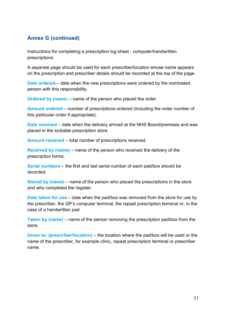## <span id="page-30-0"></span>**Annex G (continued)**

Instructions for completing a prescription log sheet - computer/handwritten prescriptions

A separate page should be used for each prescriber/location whose name appears on the prescription and prescriber details should be recorded at the top of the page.

**Date ordered** – date when the new prescriptions were ordered by the nominated person with this responsibility.

**Ordered by (name**) – name of the person who placed the order.

**Amount ordered** – number of prescriptions ordered (including the order number of this particular order if appropriate).

**Date received** – date when the delivery arrived at the NHS Board/premises and was placed in the lockable prescription store.

**Amount received** – total number of prescriptions received.

**Received by (name)** – name of the person who received the delivery of the prescription forms.

**Serial numbers** – the first and last serial number of each pad/box should be recorded.

**Stored by (name)** – name of the person who placed the prescriptions in the store and who completed the register.

**Date taken for use** – date when the pad/box was removed from the store for use by the prescriber, the GP's computer terminal, the repeat prescription terminal or, in the case of a handwritten pad.

**Taken by (name)** – name of the person removing the prescription pad/box from the store.

**Given to: (prescriber/location)** – the location where the pad/box will be used or the name of the prescriber, for example clinic, repeat prescription terminal or prescriber name.